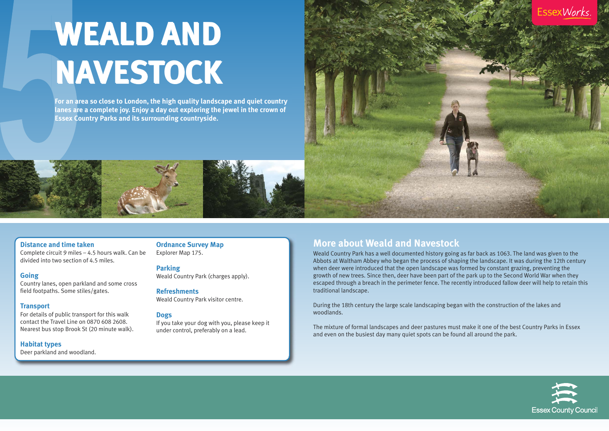## **Distance and time taken**

Complete circuit 9 miles – 4.5 hours walk. Can be divided into two section of 4.5 miles.

#### **Going**

Country lanes, open parkland and some cross field footpaths. Some stiles/gates.

## **Transport**

For details of public transport for this walk contact the Travel Line on 0870 608 2608. Nearest bus stop Brook St (20 minute walk).

#### **Habitat types**

Deer parkland and woodland.

**Ordnance Survey Map** Explorer Map 175.

#### **Parking**

Weald Country Park (charges apply).

# **Refreshments**

Weald Country Park visitor centre.

## **Dogs**

If you take your dog with you, please keep it under control, preferably on a lead.

# **More about Weald and Navestock**

Weald Country Park has a well documented history going as far back as 1063. The land was given to the Abbots at Waltham Abbey who began the process of shaping the landscape. It was during the 12th century when deer were introduced that the open landscape was formed by constant grazing, preventing the growth of new trees. Since then, deer have been part of the park up to the Second World War when they escaped through a breach in the perimeter fence. The recently introduced fallow deer will help to retain this traditional landscape.

During the 18th century the large scale landscaping began with the construction of the lakes and woodlands.

The mixture of formal landscapes and deer pastures must make it one of the best Country Parks in Essex and even on the busiest day many quiet spots can be found all around the park.





# **WEALD AND WEALD AND NAVESTOCK NAVESTOCK**

**For an area so close to London, the high quality landscape and quiet country lanes are a complete joy. Enjoy a day out exploring the jewel in the crown of Essex Country Parks and its surrounding countryside.**